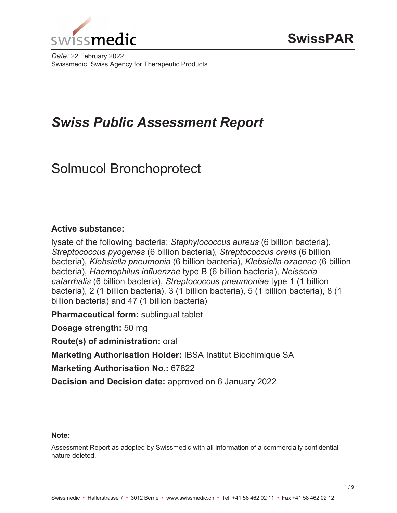

*Date:* 22 February 2022 Swissmedic, Swiss Agency for Therapeutic Products

# *Swiss Public Assessment Report*

# Solmucol Bronchoprotect

# **Active substance:**

lysate of the following bacteria: *Staphylococcus aureus* (6 billion bacteria), *Streptococcus pyogenes* (6 billion bacteria), *Streptococcus oralis* (6 billion bacteria), *Klebsiella pneumonia* (6 billion bacteria), *Klebsiella ozaenae* (6 billion bacteria), *Haemophilus influenzae* type B (6 billion bacteria), *Neisseria catarrhalis* (6 billion bacteria), *Streptococcus pneumoniae* type 1 (1 billion bacteria), 2 (1 billion bacteria), 3 (1 billion bacteria), 5 (1 billion bacteria), 8 (1 billion bacteria) and 47 (1 billion bacteria)

**Pharmaceutical form:** sublingual tablet

**Dosage strength:** 50 mg

**Route(s) of administration:** oral

**Marketing Authorisation Holder:** IBSA Institut Biochimique SA

**Marketing Authorisation No.:** 67822

**Decision and Decision date:** approved on 6 January 2022

# **Note:**

Assessment Report as adopted by Swissmedic with all information of a commercially confidential nature deleted.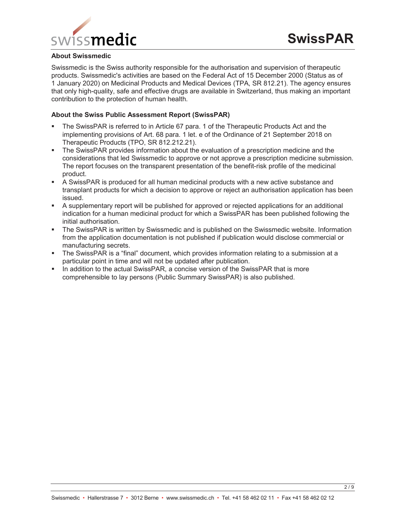

#### **About Swissmedic**

Swissmedic is the Swiss authority responsible for the authorisation and supervision of therapeutic products. Swissmedic's activities are based on the Federal Act of 15 December 2000 (Status as of 1 January 2020) on Medicinal Products and Medical Devices (TPA, SR 812.21). The agency ensures that only high-quality, safe and effective drugs are available in Switzerland, thus making an important contribution to the protection of human health.

#### **About the Swiss Public Assessment Report (SwissPAR)**

- The SwissPAR is referred to in Article 67 para. 1 of the Therapeutic Products Act and the implementing provisions of Art. 68 para. 1 let. e of the Ordinance of 21 September 2018 on Therapeutic Products (TPO, SR 812.212.21).
- The SwissPAR provides information about the evaluation of a prescription medicine and the considerations that led Swissmedic to approve or not approve a prescription medicine submission. The report focuses on the transparent presentation of the benefit-risk profile of the medicinal product.
- A SwissPAR is produced for all human medicinal products with a new active substance and transplant products for which a decision to approve or reject an authorisation application has been issued.
- A supplementary report will be published for approved or rejected applications for an additional indication for a human medicinal product for which a SwissPAR has been published following the initial authorisation.
- The SwissPAR is written by Swissmedic and is published on the Swissmedic website. Information from the application documentation is not published if publication would disclose commercial or manufacturing secrets.
- The SwissPAR is a "final" document, which provides information relating to a submission at a particular point in time and will not be updated after publication.
- In addition to the actual SwissPAR, a concise version of the SwissPAR that is more comprehensible to lay persons (Public Summary SwissPAR) is also published.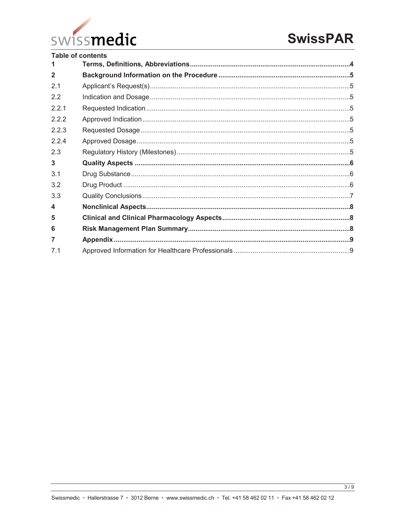

| <b>Table of contents</b> |  |  |  |
|--------------------------|--|--|--|
| 1.                       |  |  |  |
| $\overline{2}$           |  |  |  |
| 2.1                      |  |  |  |
| 22                       |  |  |  |
| 221                      |  |  |  |
| 2.2.2                    |  |  |  |
| 2.2.3                    |  |  |  |
| 2.2.4                    |  |  |  |
| 2.3                      |  |  |  |
| $\mathbf{3}$             |  |  |  |
| 3.1                      |  |  |  |
| 3.2                      |  |  |  |
| 3.3                      |  |  |  |
| $\blacktriangle$         |  |  |  |
| 5                        |  |  |  |
| 6                        |  |  |  |
| $\overline{7}$           |  |  |  |
| 7.1                      |  |  |  |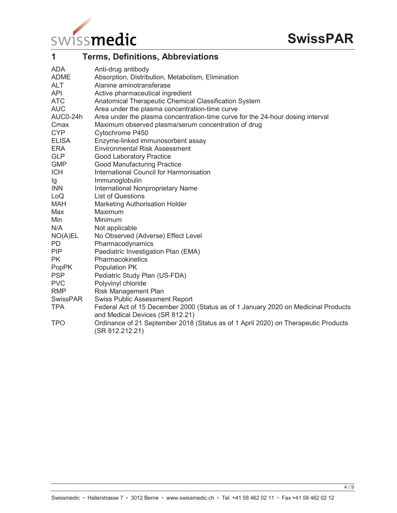

| 1            | <b>Terms, Definitions, Abbreviations</b>                                                                              |
|--------------|-----------------------------------------------------------------------------------------------------------------------|
| ADA          | Anti-drug antibody                                                                                                    |
| <b>ADME</b>  | Absorption, Distribution, Metabolism, Elimination                                                                     |
| <b>ALT</b>   | Alanine aminotransferase                                                                                              |
| <b>API</b>   | Active pharmaceutical ingredient                                                                                      |
| <b>ATC</b>   | Anatomical Therapeutic Chemical Classification System                                                                 |
| <b>AUC</b>   | Area under the plasma concentration-time curve                                                                        |
| AUC0-24h     | Area under the plasma concentration-time curve for the 24-hour dosing interval                                        |
| Cmax         | Maximum observed plasma/serum concentration of drug                                                                   |
| <b>CYP</b>   | Cytochrome P450                                                                                                       |
| <b>ELISA</b> | Enzyme-linked immunosorbent assay                                                                                     |
| <b>ERA</b>   | <b>Environmental Risk Assessment</b>                                                                                  |
| <b>GLP</b>   | <b>Good Laboratory Practice</b>                                                                                       |
| <b>GMP</b>   | <b>Good Manufacturing Practice</b>                                                                                    |
| <b>ICH</b>   | International Council for Harmonisation                                                                               |
| lg           | Immunoglobulin                                                                                                        |
| <b>INN</b>   | International Nonproprietary Name                                                                                     |
| LoQ          | <b>List of Questions</b>                                                                                              |
| <b>MAH</b>   | <b>Marketing Authorisation Holder</b>                                                                                 |
| Max          | Maximum                                                                                                               |
| Min          | Minimum                                                                                                               |
| N/A          | Not applicable                                                                                                        |
| NO(A)EL      | No Observed (Adverse) Effect Level                                                                                    |
| PD.          | Pharmacodynamics                                                                                                      |
| <b>PIP</b>   | Paediatric Investigation Plan (EMA)                                                                                   |
| <b>PK</b>    | Pharmacokinetics                                                                                                      |
| PopPK        | Population PK                                                                                                         |
| <b>PSP</b>   | Pediatric Study Plan (US-FDA)                                                                                         |
| <b>PVC</b>   | Polyvinyl chloride                                                                                                    |
| <b>RMP</b>   | Risk Management Plan                                                                                                  |
| SwissPAR     | <b>Swiss Public Assessment Report</b>                                                                                 |
| <b>TPA</b>   | Federal Act of 15 December 2000 (Status as of 1 January 2020 on Medicinal Products<br>and Medical Devices (SR 812.21) |
| <b>TPO</b>   | Ordinance of 21 September 2018 (Status as of 1 April 2020) on Therapeutic Products<br>(SR 812.212.21)                 |

 $4/9$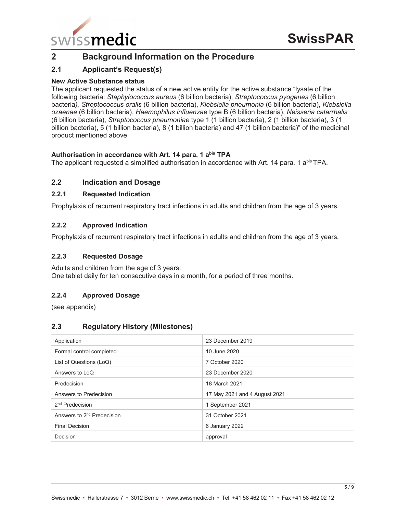

# **2 Background Information on the Procedure**

# **2.1 Applicant's Request(s)**

### **New Active Substance status**

The applicant requested the status of a new active entity for the active substance "lysate of the following bacteria: *Staphylococcus aureus* (6 billion bacteria), *Streptococcus pyogenes* (6 billion bacteria*), Streptococcus oralis* (6 billion bacteria), *Klebsiella pneumonia* (6 billion bacteria), *Klebsiella ozaenae* (6 billion bacteria), *Haemophilus influenzae* type B (6 billion bacteria), *Neisseria catarrhalis* (6 billion bacteria), *Streptococcus pneumoniae* type 1 (1 billion bacteria), 2 (1 billion bacteria), 3 (1 billion bacteria), 5 (1 billion bacteria), 8 (1 billion bacteria) and 47 (1 billion bacteria)" of the medicinal product mentioned above.

#### Authorisation in accordance with Art. 14 para. 1 a<sup>bis</sup> TPA

The applicant requested a simplified authorisation in accordance with Art. 14 para. 1 a<sup>bis</sup> TPA.

# **2.2 Indication and Dosage**

#### **2.2.1 Requested Indication**

Prophylaxis of recurrent respiratory tract infections in adults and children from the age of 3 years.

#### **2.2.2 Approved Indication**

Prophylaxis of recurrent respiratory tract infections in adults and children from the age of 3 years.

#### **2.2.3 Requested Dosage**

Adults and children from the age of 3 years: One tablet daily for ten consecutive days in a month, for a period of three months.

# **2.2.4 Approved Dosage**

(see appendix)

# **2.3 Regulatory History (Milestones)**

| Application                            | 23 December 2019              |
|----------------------------------------|-------------------------------|
| Formal control completed               | 10 June 2020                  |
| List of Questions (LoQ)                | 7 October 2020                |
| Answers to LoQ                         | 23 December 2020              |
| Predecision                            | 18 March 2021                 |
| Answers to Predecision                 | 17 May 2021 and 4 August 2021 |
| 2 <sup>nd</sup> Predecision            | 1 September 2021              |
| Answers to 2 <sup>nd</sup> Predecision | 31 October 2021               |
| <b>Final Decision</b>                  | 6 January 2022                |
| Decision                               | approval                      |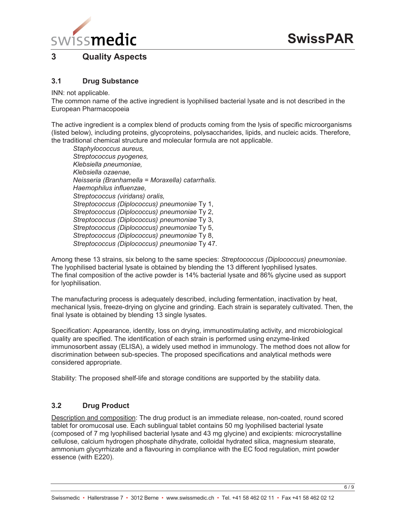

# **3 Quality Aspects**

# **3.1 Drug Substance**

INN: not applicable.

The common name of the active ingredient is lyophilised bacterial lysate and is not described in the European Pharmacopoeia

The active ingredient is a complex blend of products coming from the lysis of specific microorganisms (listed below), including proteins, glycoproteins, polysaccharides, lipids, and nucleic acids. Therefore, the traditional chemical structure and molecular formula are not applicable.

*Staphylococcus aureus, Streptococcus pyogenes, Klebsiella pneumoniae, Klebsiella ozaenae, Neisseria (Branhamella = Moraxella) catarrhalis. Haemophilus influenzae, Streptococcus (viridans) oralis, Streptococcus (Diplococcus) pneumoniae* Ty 1, *Streptococcus (Diplococcus) pneumoniae* Ty 2, *Streptococcus (Diplococcus) pneumoniae* Ty 3, *Streptococcus (Diplococcus) pneumoniae* Ty 5, *Streptococcus (Diplococcus) pneumoniae* Ty 8, *Streptococcus (Diplococcus) pneumoniae* Ty 47.

Among these 13 strains, six belong to the same species: *Streptococcus (Diplococcus) pneumoniae*. The lyophilised bacterial lysate is obtained by blending the 13 different lyophilised lysates. The final composition of the active powder is 14% bacterial lysate and 86% glycine used as support for lyophilisation.

The manufacturing process is adequately described, including fermentation, inactivation by heat, mechanical lysis, freeze-drying on glycine and grinding. Each strain is separately cultivated. Then, the final lysate is obtained by blending 13 single lysates.

Specification: Appearance, identity, loss on drying, immunostimulating activity, and microbiological quality are specified. The identification of each strain is performed using enzyme-linked immunosorbent assay (ELISA), a widely used method in immunology. The method does not allow for discrimination between sub-species. The proposed specifications and analytical methods were considered appropriate.

Stability: The proposed shelf-life and storage conditions are supported by the stability data.

# **3.2 Drug Product**

Description and composition: The drug product is an immediate release, non-coated, round scored tablet for oromucosal use. Each sublingual tablet contains 50 mg lyophilised bacterial lysate (composed of 7 mg lyophilised bacterial lysate and 43 mg glycine) and excipients: microcrystalline cellulose, calcium hydrogen phosphate dihydrate, colloidal hydrated silica, magnesium stearate, ammonium glycyrrhizate and a flavouring in compliance with the EC food regulation, mint powder essence (with E220).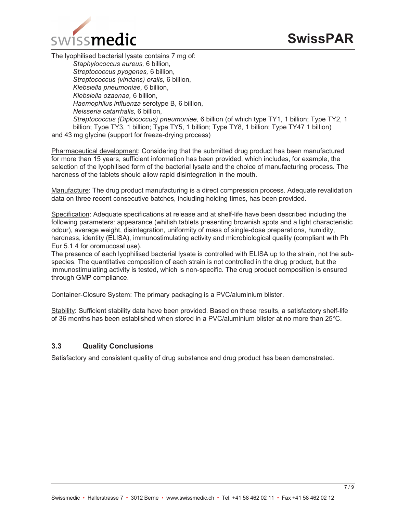

The lyophilised bacterial lysate contains 7 mg of:

*Staphylococcus aureus,* 6 billion, *Streptococcus pyogenes,* 6 billion, *Streptococcus (viridans) oralis,* 6 billion, *Klebsiella pneumoniae,* 6 billion, *Klebsiella ozaenae,* 6 billion, *Haemophilus influenza* serotype B, 6 billion, *Neisseria catarrhalis,* 6 billion, *Streptococcus (Diplococcus) pneumoniae,* 6 billion (of which type TY1, 1 billion; Type TY2, 1 billion; Type TY3, 1 billion; Type TY5, 1 billion; Type TY8, 1 billion; Type TY47 1 billion) and 43 mg glycine (support for freeze-drying process)

Pharmaceutical development: Considering that the submitted drug product has been manufactured for more than 15 years, sufficient information has been provided, which includes, for example, the selection of the lyophilised form of the bacterial lysate and the choice of manufacturing process. The hardness of the tablets should allow rapid disintegration in the mouth.

Manufacture: The drug product manufacturing is a direct compression process. Adequate revalidation data on three recent consecutive batches, including holding times, has been provided.

Specification: Adequate specifications at release and at shelf-life have been described including the following parameters: appearance (whitish tablets presenting brownish spots and a light characteristic odour), average weight, disintegration, uniformity of mass of single-dose preparations, humidity, hardness, identity (ELISA), immunostimulating activity and microbiological quality (compliant with Ph Eur 5.1.4 for oromucosal use).

The presence of each lyophilised bacterial lysate is controlled with ELISA up to the strain, not the subspecies. The quantitative composition of each strain is not controlled in the drug product, but the immunostimulating activity is tested, which is non-specific. The drug product composition is ensured through GMP compliance.

Container-Closure System: The primary packaging is a PVC/aluminium blister.

Stability: Sufficient stability data have been provided. Based on these results, a satisfactory shelf-life of 36 months has been established when stored in a PVC/aluminium blister at no more than 25°C.

# **3.3 Quality Conclusions**

Satisfactory and consistent quality of drug substance and drug product has been demonstrated.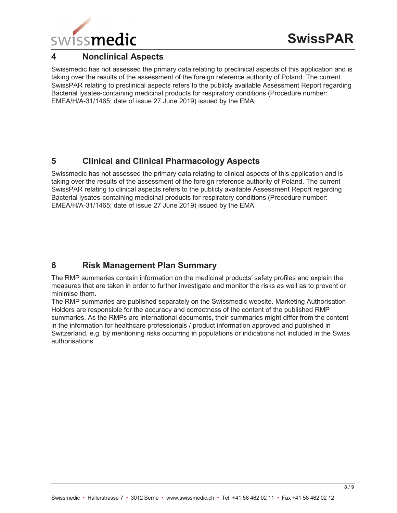

# **4 Nonclinical Aspects**

Swissmedic has not assessed the primary data relating to preclinical aspects of this application and is taking over the results of the assessment of the foreign reference authority of Poland. The current SwissPAR relating to preclinical aspects refers to the publicly available Assessment Report regarding Bacterial lysates-containing medicinal products for respiratory conditions (Procedure number: EMEA/H/A-31/1465; date of issue 27 June 2019) issued by the EMA.

# **5 Clinical and Clinical Pharmacology Aspects**

Swissmedic has not assessed the primary data relating to clinical aspects of this application and is taking over the results of the assessment of the foreign reference authority of Poland. The current SwissPAR relating to clinical aspects refers to the publicly available Assessment Report regarding Bacterial lysates-containing medicinal products for respiratory conditions (Procedure number: EMEA/H/A-31/1465; date of issue 27 June 2019) issued by the EMA.

# **6 Risk Management Plan Summary**

The RMP summaries contain information on the medicinal products' safety profiles and explain the measures that are taken in order to further investigate and monitor the risks as well as to prevent or minimise them.

The RMP summaries are published separately on the Swissmedic website. Marketing Authorisation Holders are responsible for the accuracy and correctness of the content of the published RMP summaries. As the RMPs are international documents, their summaries might differ from the content in the information for healthcare professionals / product information approved and published in Switzerland, e.g. by mentioning risks occurring in populations or indications not included in the Swiss authorisations.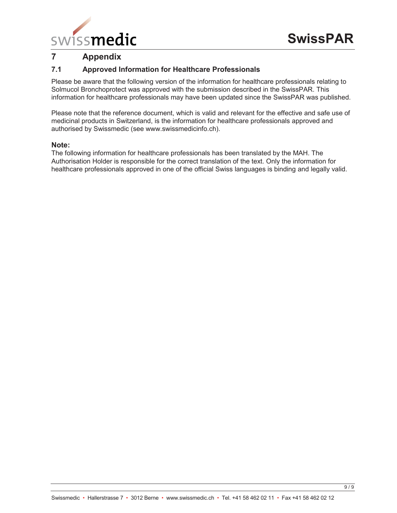

# **7 Appendix**

# **7.1 Approved Information for Healthcare Professionals**

Please be aware that the following version of the information for healthcare professionals relating to Solmucol Bronchoprotect was approved with the submission described in the SwissPAR. This information for healthcare professionals may have been updated since the SwissPAR was published.

Please note that the reference document, which is valid and relevant for the effective and safe use of medicinal products in Switzerland, is the information for healthcare professionals approved and authorised by Swissmedic (see www.swissmedicinfo.ch).

#### **Note:**

The following information for healthcare professionals has been translated by the MAH. The Authorisation Holder is responsible for the correct translation of the text. Only the information for healthcare professionals approved in one of the official Swiss languages is binding and legally valid.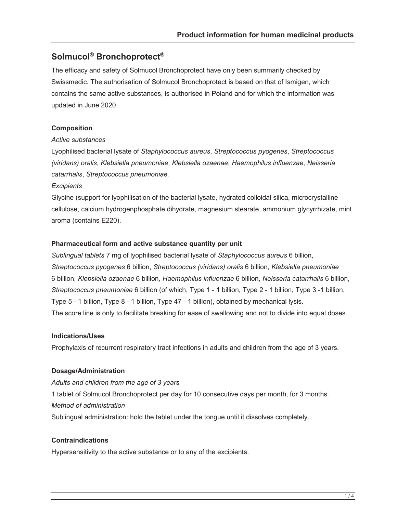# **Solmucol® Bronchoprotect®**

The efficacy and safety of Solmucol Bronchoprotect have only been summarily checked by Swissmedic. The authorisation of Solmucol Bronchoprotect is based on that of Ismigen, which contains the same active substances, is authorised in Poland and for which the information was updated in June 2020.

#### **Composition**

#### *Active substances*

Lyophilised bacterial lysate of *Staphylococcus aureus*, *Streptococcus pyogenes*, *Streptococcus (viridans) oralis*, *Klebsiella pneumoniae*, *Klebsiella ozaenae*, *Haemophilus influenzae*, *Neisseria catarrhalis*, *Streptococcus pneumoniae.*

#### *Excipients*

Glycine (support for lyophilisation of the bacterial lysate, hydrated colloidal silica, microcrystalline cellulose, calcium hydrogenphosphate dihydrate, magnesium stearate, ammonium glycyrrhizate, mint aroma (contains E220).

#### **Pharmaceutical form and active substance quantity per unit**

*Sublingual tablets* 7 mg of lyophilised bacterial lysate of *Staphylococcus aureus* 6 billion, *Streptococcus pyogenes* 6 billion, *Streptococcus (viridans) oralis* 6 billion, *Klebsiella pneumoniae* 6 billion, *Klebsiella ozaenae* 6 billion, *Haemophilus influenzae* 6 billion, *Neisseria catarrhalis* 6 billion, *Streptococcus pneumoniae* 6 billion (of which, Type 1 - 1 billion, Type 2 - 1 billion, Type 3 -1 billion, Type 5 - 1 billion, Type 8 - 1 billion, Type 47 - 1 billion), obtained by mechanical lysis. The score line is only to facilitate breaking for ease of swallowing and not to divide into equal doses.

#### **Indications/Uses**

Prophylaxis of recurrent respiratory tract infections in adults and children from the age of 3 years.

# **Dosage/Administration**

*Adults and children from the age of 3 years* 1 tablet of Solmucol Bronchoprotect per day for 10 consecutive days per month, for 3 months. *Method of administration* Sublingual administration: hold the tablet under the tongue until it dissolves completely.

# **Contraindications**

Hypersensitivity to the active substance or to any of the excipients.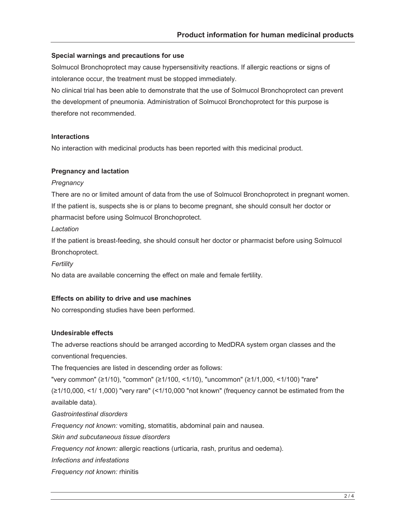#### **Special warnings and precautions for use**

Solmucol Bronchoprotect may cause hypersensitivity reactions. If allergic reactions or signs of intolerance occur, the treatment must be stopped immediately.

No clinical trial has been able to demonstrate that the use of Solmucol Bronchoprotect can prevent the development of pneumonia. Administration of Solmucol Bronchoprotect for this purpose is therefore not recommended.

#### **Interactions**

No interaction with medicinal products has been reported with this medicinal product.

#### **Pregnancy and lactation**

#### *Pregnancy*

There are no or limited amount of data from the use of Solmucol Bronchoprotect in pregnant women. If the patient is, suspects she is or plans to become pregnant, she should consult her doctor or pharmacist before using Solmucol Bronchoprotect.

#### *Lactation*

If the patient is breast-feeding, she should consult her doctor or pharmacist before using Solmucol Bronchoprotect.

# *Fertility*

No data are available concerning the effect on male and female fertility.

#### **Effects on ability to drive and use machines**

No corresponding studies have been performed.

#### **Undesirable effects**

The adverse reactions should be arranged according to MedDRA system organ classes and the conventional frequencies.

The frequencies are listed in descending order as follows:

"very common" (≥1/10), "common" (≥1/100, <1/10), "uncommon" (≥1/1,000, <1/100) "rare"  $\geq 1/10,000, \leq 1/1,000$  "very rare" (<1/10,000 "not known" (frequency cannot be estimated from the available data).

*Gastrointestinal disorders* 

*Frequency not known:* vomiting, stomatitis, abdominal pain and nausea.

*Skin and subcutaneous tissue disorders*

*Frequency not known:* allergic reactions (urticaria, rash, pruritus and oedema).

*Infections and infestations* 

*Frequency not known:* rhinitis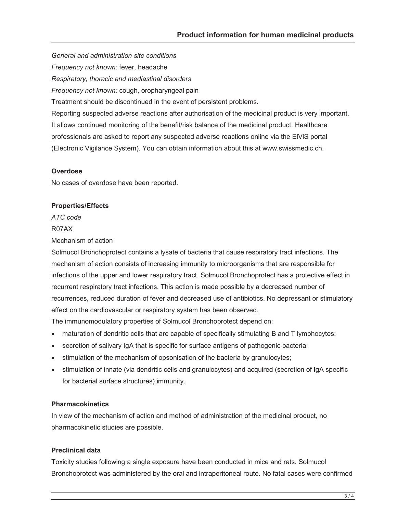*General and administration site conditions Frequency not known:* fever, headache *Respiratory, thoracic and mediastinal disorders Frequency not known:* cough, oropharyngeal pain Treatment should be discontinued in the event of persistent problems. Reporting suspected adverse reactions after authorisation of the medicinal product is very important. It allows continued monitoring of the benefit/risk balance of the medicinal product. Healthcare professionals are asked to report any suspected adverse reactions online via the ElViS portal (Electronic Vigilance System). You can obtain information about this at www.swissmedic.ch.

# **Overdose**

No cases of overdose have been reported.

#### **Properties/Effects**

*ATC code* R07AX

Mechanism of action

Solmucol Bronchoprotect contains a lysate of bacteria that cause respiratory tract infections. The mechanism of action consists of increasing immunity to microorganisms that are responsible for infections of the upper and lower respiratory tract. Solmucol Bronchoprotect has a protective effect in recurrent respiratory tract infections. This action is made possible by a decreased number of recurrences, reduced duration of fever and decreased use of antibiotics. No depressant or stimulatory effect on the cardiovascular or respiratory system has been observed.

The immunomodulatory properties of Solmucol Bronchoprotect depend on:

- maturation of dendritic cells that are capable of specifically stimulating B and T lymphocytes;
- $\bullet$  secretion of salivary IgA that is specific for surface antigens of pathogenic bacteria;
- stimulation of the mechanism of opsonisation of the bacteria by granulocytes;
- stimulation of innate (via dendritic cells and granulocytes) and acquired (secretion of IgA specific for bacterial surface structures) immunity.

#### **Pharmacokinetics**

In view of the mechanism of action and method of administration of the medicinal product, no pharmacokinetic studies are possible.

# **Preclinical data**

Toxicity studies following a single exposure have been conducted in mice and rats. Solmucol Bronchoprotect was administered by the oral and intraperitoneal route. No fatal cases were confirmed